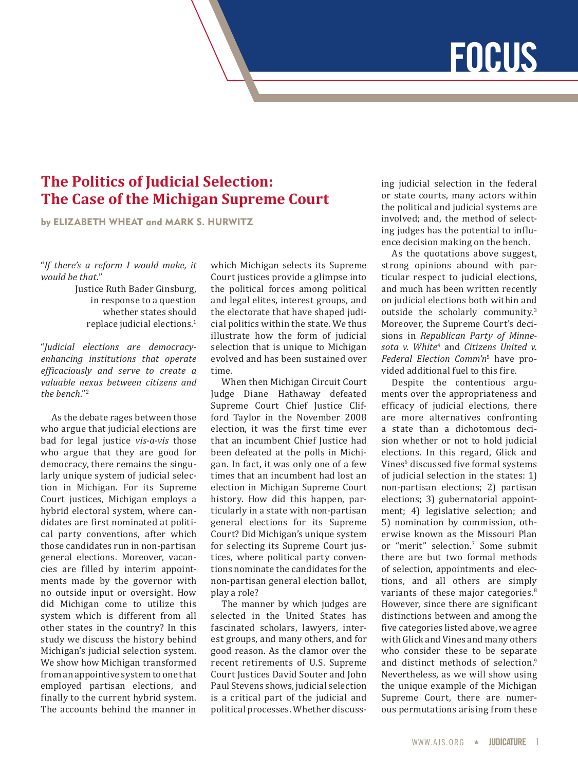# **FOCUS**

# **The Politics of Judicial Selection: The Case of the Michigan Supreme Court**

by ELIZABETH WHEAT and MARK S. HURWITZ

"*If there's a reform I would make, it would be that*."

> Justice Ruth Bader Ginsburg, in response to a question whether states should replace judicial elections.1

"*Judicial elections are democracyenhancing institutions that operate efficaciously and serve to create a valuable nexus between citizens and the bench*."<sup>2</sup>

As the debate rages between those who argue that judicial elections are bad for legal justice *vis-a-vis* those who argue that they are good for democracy, there remains the singularly unique system of judicial selection in Michigan. For its Supreme Court justices, Michigan employs a hybrid electoral system, where candidates are first nominated at political party conventions, after which those candidates run in non-partisan general elections. Moreover, vacancies are filled by interim appointments made by the governor with no outside input or oversight. How did Michigan come to utilize this system which is different from all other states in the country? In this study we discuss the history behind Michigan's judicial selection system. We show how Michigan transformed from an appointive system to one that employed partisan elections, and finally to the current hybrid system. The accounts behind the manner in

which Michigan selects its Supreme Court justices provide a glimpse into the political forces among political and legal elites, interest groups, and the electorate that have shaped judicial politics within the state. We thus illustrate how the form of judicial selection that is unique to Michigan evolved and has been sustained over time.

When then Michigan Circuit Court Judge Diane Hathaway defeated Supreme Court Chief Justice Clifford Taylor in the November 2008 election, it was the first time ever that an incumbent Chief Justice had been defeated at the polls in Michigan. In fact, it was only one of a few times that an incumbent had lost an election in Michigan Supreme Court history. How did this happen, particularly in a state with non-partisan general elections for its Supreme Court? Did Michigan's unique system for selecting its Supreme Court justices, where political party conventions nominate the candidates for the non-partisan general election ballot, play a role?

The manner by which judges are selected in the United States has fascinated scholars, lawyers, interest groups, and many others, and for good reason. As the clamor over the recent retirements of U.S. Supreme Court Justices David Souter and John Paul Stevens shows, judicial selection is a critical part of the judicial and political processes. Whether discussing judicial selection in the federal or state courts, many actors within the political and judicial systems are involved; and, the method of selecting judges has the potential to influence decision making on the bench.

As the quotations above suggest, strong opinions abound with particular respect to judicial elections, and much has been written recently on judicial elections both within and outside the scholarly community.<sup>3</sup> Moreover, the Supreme Court's decisions in *Republican Party of Minnesota v. White*<sup>4</sup> and *Citizens United v. Federal Election Comm'n*<sup>5</sup> have provided additional fuel to this fire.

Despite the contentious arguments over the appropriateness and efficacy of judicial elections, there are more alternatives confronting a state than a dichotomous decision whether or not to hold judicial elections. In this regard, Glick and Vines<sup>6</sup> discussed five formal systems of judicial selection in the states: 1) non-partisan elections; 2) partisan elections; 3) gubernatorial appointment; 4) legislative selection; and 5) nomination by commission, otherwise known as the Missouri Plan or "merit" selection.7 Some submit there are but two formal methods of selection, appointments and elections, and all others are simply variants of these major categories.<sup>8</sup> However, since there are significant distinctions between and among the five categories listed above, we agree with Glick and Vines and many others who consider these to be separate and distinct methods of selection.<sup>9</sup> Nevertheless, as we will show using the unique example of the Michigan Supreme Court, there are numerous permutations arising from these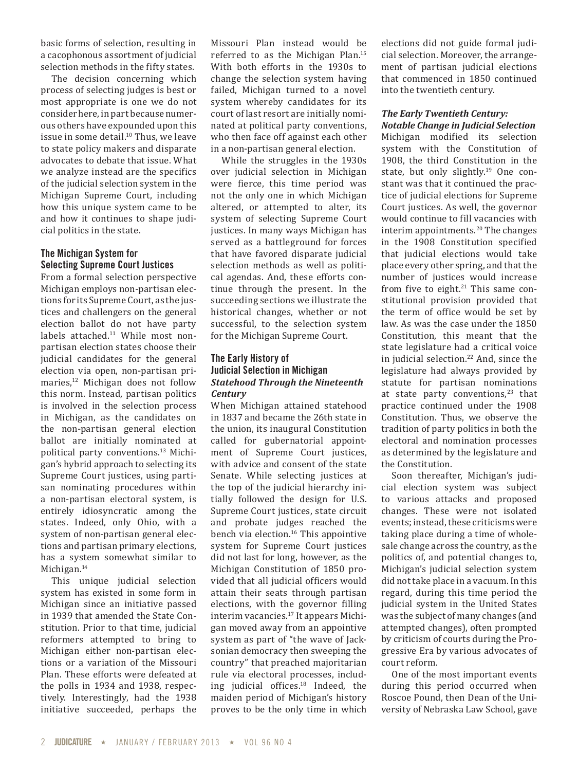basic forms of selection, resulting in a cacophonous assortment of judicial selection methods in the fifty states.

The decision concerning which process of selecting judges is best or most appropriate is one we do not consider here, in part because numerous others have expounded upon this issue in some detail.<sup>10</sup> Thus, we leave to state policy makers and disparate advocates to debate that issue. What we analyze instead are the specifics of the judicial selection system in the Michigan Supreme Court, including how this unique system came to be and how it continues to shape judicial politics in the state.

#### **The Michigan System for Selecting Supreme Court Justices**

From a formal selection perspective Michigan employs non-partisan elections for its Supreme Court, as the justices and challengers on the general election ballot do not have party labels attached.<sup>11</sup> While most nonpartisan election states choose their judicial candidates for the general election via open, non-partisan primaries,<sup>12</sup> Michigan does not follow this norm. Instead, partisan politics is involved in the selection process in Michigan, as the candidates on the non-partisan general election ballot are initially nominated at political party conventions.13 Michigan's hybrid approach to selecting its Supreme Court justices, using partisan nominating procedures within a non-partisan electoral system, is entirely idiosyncratic among the states. Indeed, only Ohio, with a system of non-partisan general elections and partisan primary elections, has a system somewhat similar to Michigan.<sup>14</sup>

This unique judicial selection system has existed in some form in Michigan since an initiative passed in 1939 that amended the State Constitution. Prior to that time, judicial reformers attempted to bring to Michigan either non-partisan elections or a variation of the Missouri Plan. These efforts were defeated at the polls in 1934 and 1938, respectively. Interestingly, had the 1938 initiative succeeded, perhaps the

Missouri Plan instead would be referred to as the Michigan Plan.15 With both efforts in the 1930s to change the selection system having failed, Michigan turned to a novel system whereby candidates for its court of last resort are initially nominated at political party conventions, who then face off against each other in a non-partisan general election.

While the struggles in the 1930s over judicial selection in Michigan were fierce, this time period was not the only one in which Michigan altered, or attempted to alter, its system of selecting Supreme Court justices. In many ways Michigan has served as a battleground for forces that have favored disparate judicial selection methods as well as political agendas. And, these efforts continue through the present. In the succeeding sections we illustrate the historical changes, whether or not successful, to the selection system for the Michigan Supreme Court.

## **The Early History of Judicial Selection in Michigan** *Statehood Through the Nineteenth Century*

When Michigan attained statehood in 1837 and became the 26th state in the union, its inaugural Constitution called for gubernatorial appointment of Supreme Court justices, with advice and consent of the state Senate. While selecting justices at the top of the judicial hierarchy initially followed the design for U.S. Supreme Court justices, state circuit and probate judges reached the bench via election.<sup>16</sup> This appointive system for Supreme Court justices did not last for long, however, as the Michigan Constitution of 1850 provided that all judicial officers would attain their seats through partisan elections, with the governor filling interim vacancies.17 It appears Michigan moved away from an appointive system as part of "the wave of Jacksonian democracy then sweeping the country" that preached majoritarian rule via electoral processes, including judicial offices.18 Indeed, the maiden period of Michigan's history proves to be the only time in which elections did not guide formal judicial selection. Moreover, the arrangement of partisan judicial elections that commenced in 1850 continued into the twentieth century.

#### *The Early Twentieth Century: Notable Change in Judicial Selection*

Michigan modified its selection system with the Constitution of 1908, the third Constitution in the state, but only slightly.<sup>19</sup> One constant was that it continued the practice of judicial elections for Supreme Court justices. As well, the governor would continue to fill vacancies with interim appointments.<sup>20</sup> The changes in the 1908 Constitution specified that judicial elections would take place every other spring, and that the number of justices would increase from five to eight. $21$  This same constitutional provision provided that the term of office would be set by law. As was the case under the 1850 Constitution, this meant that the state legislature had a critical voice in judicial selection.<sup>22</sup> And, since the legislature had always provided by statute for partisan nominations at state party conventions, $23$  that practice continued under the 1908 Constitution. Thus, we observe the tradition of party politics in both the electoral and nomination processes as determined by the legislature and the Constitution.

Soon thereafter, Michigan's judicial election system was subject to various attacks and proposed changes. These were not isolated events; instead, these criticisms were taking place during a time of wholesale change across the country, as the politics of, and potential changes to, Michigan's judicial selection system did not take place in a vacuum. In this regard, during this time period the judicial system in the United States was the subject of many changes (and attempted changes), often prompted by criticism of courts during the Progressive Era by various advocates of court reform.

One of the most important events during this period occurred when Roscoe Pound, then Dean of the University of Nebraska Law School, gave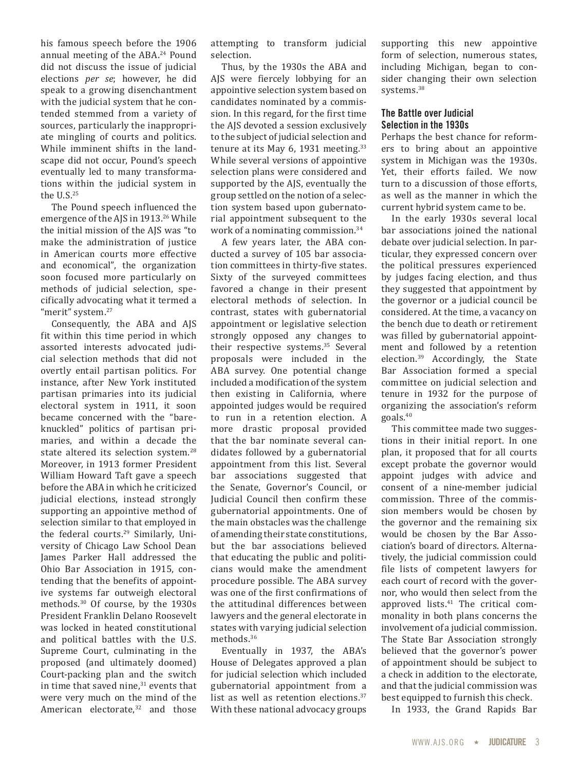his famous speech before the 1906 annual meeting of the ABA.<sup>24</sup> Pound did not discuss the issue of judicial elections *per se*; however, he did speak to a growing disenchantment with the judicial system that he contended stemmed from a variety of sources, particularly the inappropriate mingling of courts and politics. While imminent shifts in the landscape did not occur, Pound's speech eventually led to many transformations within the judicial system in the  $U.S.^{25}$ 

The Pound speech influenced the emergence of the AJS in 1913.<sup>26</sup> While the initial mission of the AJS was "to make the administration of justice in American courts more effective and economical", the organization soon focused more particularly on methods of judicial selection, specifically advocating what it termed a "merit" system.<sup>27</sup>

Consequently, the ABA and AJS fit within this time period in which assorted interests advocated judicial selection methods that did not overtly entail partisan politics. For instance, after New York instituted partisan primaries into its judicial electoral system in 1911, it soon became concerned with the "bareknuckled" politics of partisan primaries, and within a decade the state altered its selection system.<sup>28</sup> Moreover, in 1913 former President William Howard Taft gave a speech before the ABA in which he criticized judicial elections, instead strongly supporting an appointive method of selection similar to that employed in the federal courts.29 Similarly, University of Chicago Law School Dean James Parker Hall addressed the Ohio Bar Association in 1915, contending that the benefits of appointive systems far outweigh electoral methods.30 Of course, by the 1930s President Franklin Delano Roosevelt was locked in heated constitutional and political battles with the U.S. Supreme Court, culminating in the proposed (and ultimately doomed) Court-packing plan and the switch in time that saved nine, $31$  events that were very much on the mind of the American electorate, $32$  and those attempting to transform judicial selection.

Thus, by the 1930s the ABA and AJS were fiercely lobbying for an appointive selection system based on candidates nominated by a commission. In this regard, for the first time the AJS devoted a session exclusively to the subject of judicial selection and tenure at its May 6, 1931 meeting.<sup>33</sup> While several versions of appointive selection plans were considered and supported by the AJS, eventually the group settled on the notion of a selection system based upon gubernatorial appointment subsequent to the work of a nominating commission.<sup>34</sup>

A few years later, the ABA conducted a survey of 105 bar association committees in thirty-five states. Sixty of the surveyed committees favored a change in their present electoral methods of selection. In contrast, states with gubernatorial appointment or legislative selection strongly opposed any changes to their respective systems.<sup>35</sup> Several proposals were included in the ABA survey. One potential change included a modification of the system then existing in California, where appointed judges would be required to run in a retention election. A more drastic proposal provided that the bar nominate several candidates followed by a gubernatorial appointment from this list. Several bar associations suggested that the Senate, Governor's Council, or Judicial Council then confirm these gubernatorial appointments. One of the main obstacles was the challenge of amending their state constitutions, but the bar associations believed that educating the public and politicians would make the amendment procedure possible. The ABA survey was one of the first confirmations of the attitudinal differences between lawyers and the general electorate in states with varying judicial selection methods.<sup>36</sup>

Eventually in 1937, the ABA's House of Delegates approved a plan for judicial selection which included gubernatorial appointment from a list as well as retention elections.<sup>37</sup> With these national advocacy groups supporting this new appointive form of selection, numerous states, including Michigan, began to consider changing their own selection systems.<sup>38</sup>

## **The Battle over Judicial Selection in the 1930s**

Perhaps the best chance for reformers to bring about an appointive system in Michigan was the 1930s. Yet, their efforts failed. We now turn to a discussion of those efforts, as well as the manner in which the current hybrid system came to be.

In the early 1930s several local bar associations joined the national debate over judicial selection. In particular, they expressed concern over the political pressures experienced by judges facing election, and thus they suggested that appointment by the governor or a judicial council be considered. At the time, a vacancy on the bench due to death or retirement was filled by gubernatorial appointment and followed by a retention election.39 Accordingly, the State Bar Association formed a special committee on judicial selection and tenure in 1932 for the purpose of organizing the association's reform goals.40

This committee made two suggestions in their initial report. In one plan, it proposed that for all courts except probate the governor would appoint judges with advice and consent of a nine-member judicial commission. Three of the commission members would be chosen by the governor and the remaining six would be chosen by the Bar Association's board of directors. Alternatively, the judicial commission could file lists of competent lawyers for each court of record with the governor, who would then select from the approved lists. $41$  The critical commonality in both plans concerns the involvement of a judicial commission. The State Bar Association strongly believed that the governor's power of appointment should be subject to a check in addition to the electorate, and that the judicial commission was best equipped to furnish this check.

In 1933, the Grand Rapids Bar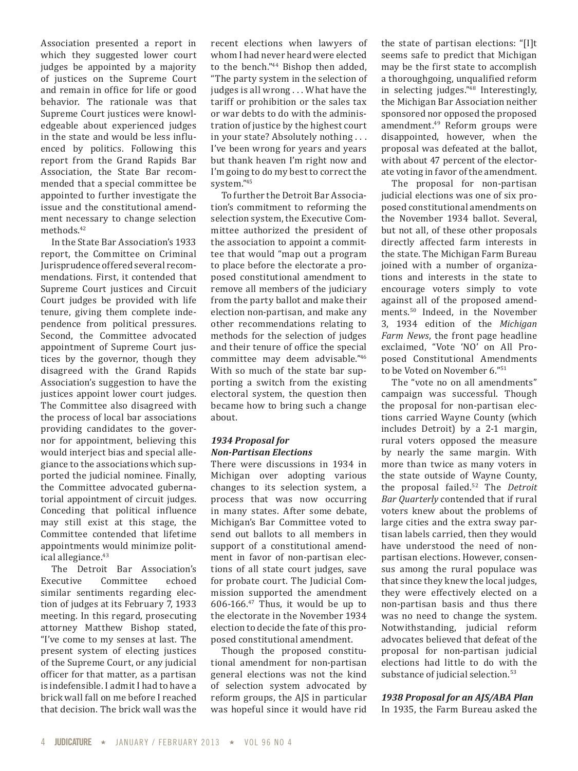Association presented a report in which they suggested lower court judges be appointed by a majority of justices on the Supreme Court and remain in office for life or good behavior. The rationale was that Supreme Court justices were knowledgeable about experienced judges in the state and would be less influenced by politics. Following this report from the Grand Rapids Bar Association, the State Bar recommended that a special committee be appointed to further investigate the issue and the constitutional amendment necessary to change selection methods.42

In the State Bar Association's 1933 report, the Committee on Criminal Jurisprudence offered several recommendations. First, it contended that Supreme Court justices and Circuit Court judges be provided with life tenure, giving them complete independence from political pressures. Second, the Committee advocated appointment of Supreme Court justices by the governor, though they disagreed with the Grand Rapids Association's suggestion to have the justices appoint lower court judges. The Committee also disagreed with the process of local bar associations providing candidates to the governor for appointment, believing this would interject bias and special allegiance to the associations which supported the judicial nominee. Finally, the Committee advocated gubernatorial appointment of circuit judges. Conceding that political influence may still exist at this stage, the Committee contended that lifetime appointments would minimize political allegiance.<sup>43</sup>

The Detroit Bar Association's<br>Executive Committee echoed Committee similar sentiments regarding election of judges at its February 7, 1933 meeting. In this regard, prosecuting attorney Matthew Bishop stated, "I've come to my senses at last. The present system of electing justices of the Supreme Court, or any judicial officer for that matter, as a partisan is indefensible. I admit I had to have a brick wall fall on me before I reached that decision. The brick wall was the

recent elections when lawyers of whom I had never heard were elected to the bench."44 Bishop then added, "The party system in the selection of judges is all wrong . . . What have the tariff or prohibition or the sales tax or war debts to do with the administration of justice by the highest court in your state? Absolutely nothing . . . I've been wrong for years and years but thank heaven I'm right now and I'm going to do my best to correct the system."45

To further the Detroit Bar Association's commitment to reforming the selection system, the Executive Committee authorized the president of the association to appoint a committee that would "map out a program to place before the electorate a proposed constitutional amendment to remove all members of the judiciary from the party ballot and make their election non-partisan, and make any other recommendations relating to methods for the selection of judges and their tenure of office the special committee may deem advisable."46 With so much of the state bar supporting a switch from the existing electoral system, the question then became how to bring such a change about.

## *1934 Proposal for Non-Partisan Elections*

There were discussions in 1934 in Michigan over adopting various changes to its selection system, a process that was now occurring in many states. After some debate, Michigan's Bar Committee voted to send out ballots to all members in support of a constitutional amendment in favor of non-partisan elections of all state court judges, save for probate court. The Judicial Commission supported the amendment  $606-166.^{47}$  Thus, it would be up to the electorate in the November 1934 election to decide the fate of this proposed constitutional amendment.

Though the proposed constitutional amendment for non-partisan general elections was not the kind of selection system advocated by reform groups, the AJS in particular was hopeful since it would have rid the state of partisan elections: "[I]t seems safe to predict that Michigan may be the first state to accomplish a thoroughgoing, unqualified reform in selecting judges."48 Interestingly, the Michigan Bar Association neither sponsored nor opposed the proposed amendment.49 Reform groups were disappointed, however, when the proposal was defeated at the ballot, with about 47 percent of the electorate voting in favor of the amendment.

The proposal for non-partisan judicial elections was one of six proposed constitutional amendments on the November 1934 ballot. Several, but not all, of these other proposals directly affected farm interests in the state. The Michigan Farm Bureau joined with a number of organizations and interests in the state to encourage voters simply to vote against all of the proposed amendments.50 Indeed, in the November 3, 1934 edition of the *Michigan Farm News*, the front page headline exclaimed, "Vote 'NO' on All Proposed Constitutional Amendments to be Voted on November 6."<sup>51</sup>

The "vote no on all amendments" campaign was successful. Though the proposal for non-partisan elections carried Wayne County (which includes Detroit) by a 2-1 margin, rural voters opposed the measure by nearly the same margin. With more than twice as many voters in the state outside of Wayne County, the proposal failed.52 The *Detroit Bar Quarterly* contended that if rural voters knew about the problems of large cities and the extra sway partisan labels carried, then they would have understood the need of nonpartisan elections. However, consensus among the rural populace was that since they knew the local judges, they were effectively elected on a non-partisan basis and thus there was no need to change the system. Notwithstanding, judicial reform advocates believed that defeat of the proposal for non-partisan judicial elections had little to do with the substance of judicial selection.<sup>53</sup>

#### *1938 Proposal for an AJS/ABA Plan* In 1935, the Farm Bureau asked the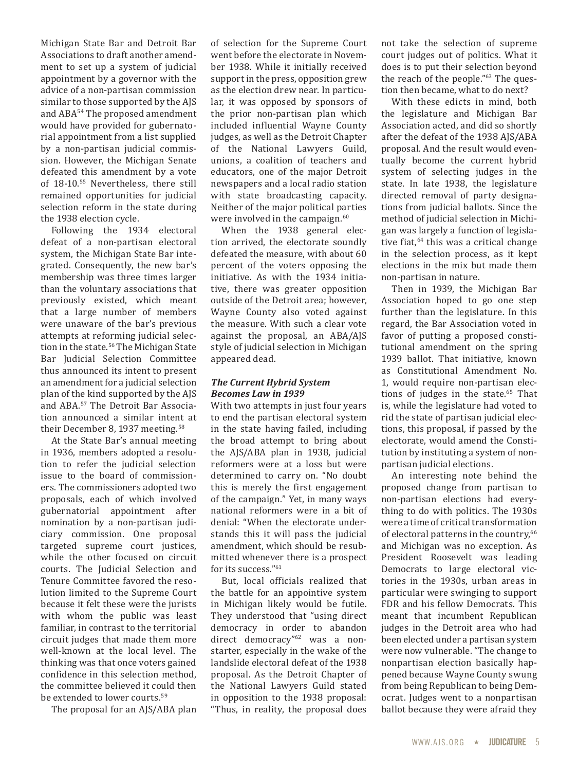Michigan State Bar and Detroit Bar Associations to draft another amendment to set up a system of judicial appointment by a governor with the advice of a non-partisan commission similar to those supported by the AJS and ABA<sup>54</sup> The proposed amendment would have provided for gubernatorial appointment from a list supplied by a non-partisan judicial commission. However, the Michigan Senate defeated this amendment by a vote of 18-10.55 Nevertheless, there still remained opportunities for judicial selection reform in the state during the 1938 election cycle.

Following the 1934 electoral defeat of a non-partisan electoral system, the Michigan State Bar integrated. Consequently, the new bar's membership was three times larger than the voluntary associations that previously existed, which meant that a large number of members were unaware of the bar's previous attempts at reforming judicial selection in the state.<sup>56</sup> The Michigan State Bar Judicial Selection Committee thus announced its intent to present an amendment for a judicial selection plan of the kind supported by the AJS and ABA.57 The Detroit Bar Association announced a similar intent at their December 8, 1937 meeting.<sup>58</sup>

At the State Bar's annual meeting in 1936, members adopted a resolution to refer the judicial selection issue to the board of commissioners. The commissioners adopted two proposals, each of which involved gubernatorial appointment after nomination by a non-partisan judiciary commission. One proposal targeted supreme court justices, while the other focused on circuit courts. The Judicial Selection and Tenure Committee favored the resolution limited to the Supreme Court because it felt these were the jurists with whom the public was least familiar, in contrast to the territorial circuit judges that made them more well-known at the local level. The thinking was that once voters gained confidence in this selection method, the committee believed it could then be extended to lower courts.<sup>59</sup>

The proposal for an AJS/ABA plan

of selection for the Supreme Court went before the electorate in November 1938. While it initially received support in the press, opposition grew as the election drew near. In particular, it was opposed by sponsors of the prior non-partisan plan which included influential Wayne County judges, as well as the Detroit Chapter of the National Lawyers Guild, unions, a coalition of teachers and educators, one of the major Detroit newspapers and a local radio station with state broadcasting capacity. Neither of the major political parties were involved in the campaign.<sup>60</sup>

When the 1938 general election arrived, the electorate soundly defeated the measure, with about 60 percent of the voters opposing the initiative. As with the 1934 initiative, there was greater opposition outside of the Detroit area; however, Wayne County also voted against the measure. With such a clear vote against the proposal, an ABA/AJS style of judicial selection in Michigan appeared dead.

#### *The Current Hybrid System Becomes Law in 1939*

With two attempts in just four years to end the partisan electoral system in the state having failed, including the broad attempt to bring about the AJS/ABA plan in 1938, judicial reformers were at a loss but were determined to carry on. "No doubt this is merely the first engagement of the campaign." Yet, in many ways national reformers were in a bit of denial: "When the electorate understands this it will pass the judicial amendment, which should be resubmitted whenever there is a prospect for its success."61

But, local officials realized that the battle for an appointive system in Michigan likely would be futile. They understood that "using direct democracy in order to abandon direct democracy"<sup>62</sup> was a nonstarter, especially in the wake of the landslide electoral defeat of the 1938 proposal. As the Detroit Chapter of the National Lawyers Guild stated in opposition to the 1938 proposal: "Thus, in reality, the proposal does not take the selection of supreme court judges out of politics. What it does is to put their selection beyond the reach of the people."63 The question then became, what to do next?

With these edicts in mind, both the legislature and Michigan Bar Association acted, and did so shortly after the defeat of the 1938 AJS/ABA proposal. And the result would eventually become the current hybrid system of selecting judges in the state. In late 1938, the legislature directed removal of party designations from judicial ballots. Since the method of judicial selection in Michigan was largely a function of legislative fiat, $64$  this was a critical change in the selection process, as it kept elections in the mix but made them non-partisan in nature.

Then in 1939, the Michigan Bar Association hoped to go one step further than the legislature. In this regard, the Bar Association voted in favor of putting a proposed constitutional amendment on the spring 1939 ballot. That initiative, known as Constitutional Amendment No. 1, would require non-partisan elections of judges in the state.<sup>65</sup> That is, while the legislature had voted to rid the state of partisan judicial elections, this proposal, if passed by the electorate, would amend the Constitution by instituting a system of nonpartisan judicial elections.

An interesting note behind the proposed change from partisan to non-partisan elections had everything to do with politics. The 1930s were a time of critical transformation of electoral patterns in the country,<sup>66</sup> and Michigan was no exception. As President Roosevelt was leading Democrats to large electoral victories in the 1930s, urban areas in particular were swinging to support FDR and his fellow Democrats. This meant that incumbent Republican judges in the Detroit area who had been elected under a partisan system were now vulnerable. "The change to nonpartisan election basically happened because Wayne County swung from being Republican to being Democrat. Judges went to a nonpartisan ballot because they were afraid they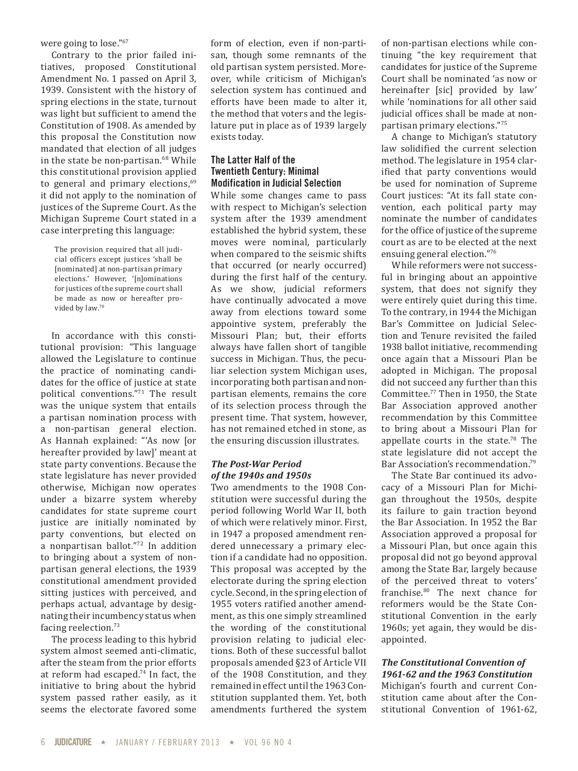were going to lose."67

Contrary to the prior failed initiatives, proposed Constitutional Amendment No. 1 passed on April 3, 1939. Consistent with the history of spring elections in the state, turnout was light but sufficient to amend the Constitution of 1908. As amended by this proposal the Constitution now mandated that election of all judges in the state be non-partisan.<sup>68</sup> While this constitutional provision applied to general and primary elections, $69$ it did not apply to the nomination of justices of the Supreme Court. As the Michigan Supreme Court stated in a case interpreting this language:

The provision required that all judicial officers except justices 'shall be [nominated] at non-partisan primary elections.' However, '[n]ominations for justices of the supreme court shall be made as now or hereafter provided by law.70

In accordance with this constitutional provision: "This language allowed the Legislature to continue the practice of nominating candidates for the office of justice at state political conventions."71 The result was the unique system that entails a partisan nomination process with a non-partisan general election. As Hannah explained: "'As now [or hereafter provided by law]' meant at state party conventions. Because the state legislature has never provided otherwise, Michigan now operates under a bizarre system whereby candidates for state supreme court justice are initially nominated by party conventions, but elected on a nonpartisan ballot."72 In addition to bringing about a system of nonpartisan general elections, the 1939 constitutional amendment provided sitting justices with perceived, and perhaps actual, advantage by designating their incumbency status when facing reelection.73

The process leading to this hybrid system almost seemed anti-climatic, after the steam from the prior efforts at reform had escaped.74 In fact, the initiative to bring about the hybrid system passed rather easily, as it seems the electorate favored some

form of election, even if non-partisan, though some remnants of the old partisan system persisted. Moreover, while criticism of Michigan's selection system has continued and efforts have been made to alter it, the method that voters and the legislature put in place as of 1939 largely exists today.

#### **The Latter Half of the Twentieth Century: Minimal Modification in Judicial Selection**

While some changes came to pass with respect to Michigan's selection system after the 1939 amendment established the hybrid system, these moves were nominal, particularly when compared to the seismic shifts that occurred (or nearly occurred) during the first half of the century. As we show, judicial reformers have continually advocated a move away from elections toward some appointive system, preferably the Missouri Plan; but, their efforts always have fallen short of tangible success in Michigan. Thus, the peculiar selection system Michigan uses, incorporating both partisan and nonpartisan elements, remains the core of its selection process through the present time. That system, however, has not remained etched in stone, as the ensuring discussion illustrates.

#### *The Post-War Period of the 1940s and 1950s*

Two amendments to the 1908 Constitution were successful during the period following World War II, both of which were relatively minor. First, in 1947 a proposed amendment rendered unnecessary a primary election if a candidate had no opposition. This proposal was accepted by the electorate during the spring election cycle. Second, in the spring election of 1955 voters ratified another amendment, as this one simply streamlined the wording of the constitutional provision relating to judicial elections. Both of these successful ballot proposals amended §23 of Article VII of the 1908 Constitution, and they remained in effect until the 1963 Constitution supplanted them. Yet, both amendments furthered the system of non-partisan elections while continuing "the key requirement that candidates for justice of the Supreme Court shall be nominated 'as now or hereinafter [sic] provided by law' while 'nominations for all other said judicial offices shall be made at nonpartisan primary elections."<sup>75</sup>

A change to Michigan's statutory law solidified the current selection method. The legislature in 1954 clarified that party conventions would be used for nomination of Supreme Court justices: "At its fall state convention, each political party may nominate the number of candidates for the office of justice of the supreme court as are to be elected at the next ensuing general election."<sup>76</sup>

While reformers were not successful in bringing about an appointive system, that does not signify they were entirely quiet during this time. To the contrary, in 1944 the Michigan Bar's Committee on Judicial Selection and Tenure revisited the failed 1938 ballot initiative, recommending once again that a Missouri Plan be adopted in Michigan. The proposal did not succeed any further than this Committee.77 Then in 1950, the State Bar Association approved another recommendation by this Committee to bring about a Missouri Plan for appellate courts in the state.<sup>78</sup> The state legislature did not accept the Bar Association's recommendation.79

The State Bar continued its advocacy of a Missouri Plan for Michigan throughout the 1950s, despite its failure to gain traction beyond the Bar Association. In 1952 the Bar Association approved a proposal for a Missouri Plan, but once again this proposal did not go beyond approval among the State Bar, largely because of the perceived threat to voters' franchise.80 The next chance for reformers would be the State Constitutional Convention in the early 1960s; yet again, they would be disappointed.

## *The Constitutional Convention of 1961-62 and the 1963 Constitution*

Michigan's fourth and current Constitution came about after the Constitutional Convention of 1961-62,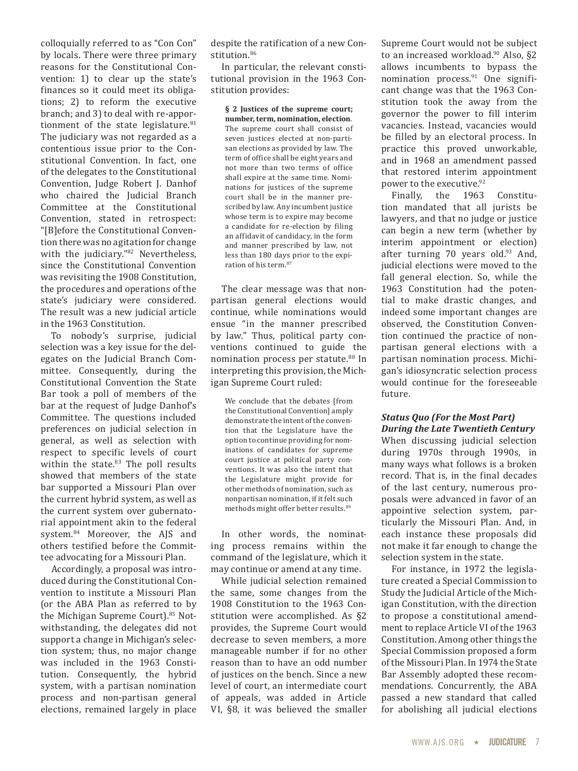colloquially referred to as "Con Con" by locals. There were three primary reasons for the Constitutional Convention: 1) to clear up the state's finances so it could meet its obligations; 2) to reform the executive branch; and 3) to deal with re-apportionment of the state legislature. $81$ The judiciary was not regarded as a contentious issue prior to the Constitutional Convention. In fact, one of the delegates to the Constitutional Convention, Judge Robert J. Danhof who chaired the Judicial Branch Committee at the Constitutional Convention, stated in retrospect: "[B]efore the Constitutional Convention there was no agitation for change with the judiciary."82 Nevertheless, since the Constitutional Convention was revisiting the 1908 Constitution, the procedures and operations of the state's judiciary were considered. The result was a new judicial article in the 1963 Constitution.

To nobody's surprise, judicial selection was a key issue for the delegates on the Judicial Branch Committee. Consequently, during the Constitutional Convention the State Bar took a poll of members of the bar at the request of Judge Danhof's Committee. The questions included preferences on judicial selection in general, as well as selection with respect to specific levels of court within the state.<sup>83</sup> The poll results showed that members of the state bar supported a Missouri Plan over the current hybrid system, as well as the current system over gubernatorial appointment akin to the federal system.84 Moreover, the AJS and others testified before the Committee advocating for a Missouri Plan.

Accordingly, a proposal was introduced during the Constitutional Convention to institute a Missouri Plan (or the ABA Plan as referred to by the Michigan Supreme Court).<sup>85</sup> Notwithstanding, the delegates did not support a change in Michigan's selection system; thus, no major change was included in the 1963 Constitution. Consequently, the hybrid system, with a partisan nomination process and non-partisan general elections, remained largely in place despite the ratification of a new Constitution.<sup>86</sup>

In particular, the relevant constitutional provision in the 1963 Constitution provides:

**§ 2 Justices of the supreme court; number, term, nomination, election**. The supreme court shall consist of seven justices elected at non-partisan elections as provided by law. The term of office shall be eight years and not more than two terms of office shall expire at the same time. Nominations for justices of the supreme court shall be in the manner prescribed by law. Any incumbent justice whose term is to expire may become a candidate for re-election by filing an affidavit of candidacy, in the form and manner prescribed by law, not less than 180 days prior to the expiration of his term.<sup>87</sup>

The clear message was that nonpartisan general elections would continue, while nominations would ensue "in the manner prescribed by law." Thus, political party conventions continued to guide the nomination process per statute.<sup>88</sup> In interpreting this provision, the Michigan Supreme Court ruled:

We conclude that the debates [from the Constitutional Convention] amply demonstrate the intent of the convention that the Legislature have the option to continue providing for nominations of candidates for supreme court justice at political party conventions. It was also the intent that the Legislature might provide for other methods of nomination, such as nonpartisan nomination, if it felt such methods might offer better results.<sup>89</sup>

In other words, the nominating process remains within the command of the legislature, which it may continue or amend at any time.

While judicial selection remained the same, some changes from the 1908 Constitution to the 1963 Constitution were accomplished. As §2 provides, the Supreme Court would decrease to seven members, a more manageable number if for no other reason than to have an odd number of justices on the bench. Since a new level of court, an intermediate court of appeals, was added in Article VI, §8, it was believed the smaller

Supreme Court would not be subject to an increased workload.<sup>90</sup> Also, §2 allows incumbents to bypass the nomination process. $91$  One significant change was that the 1963 Constitution took the away from the governor the power to fill interim vacancies. Instead, vacancies would be filled by an electoral process. In practice this proved unworkable, and in 1968 an amendment passed that restored interim appointment power to the executive.<sup>92</sup>

Finally, the 1963 Constitution mandated that all jurists be lawyers, and that no judge or justice can begin a new term (whether by interim appointment or election) after turning 70 years old. $93$  And, judicial elections were moved to the fall general election. So, while the 1963 Constitution had the potential to make drastic changes, and indeed some important changes are observed, the Constitution Convention continued the practice of nonpartisan general elections with a partisan nomination process. Michigan's idiosyncratic selection process would continue for the foreseeable future.

#### *Status Quo (For the Most Part) During the Late Twentieth Century*

When discussing judicial selection during 1970s through 1990s, in many ways what follows is a broken record. That is, in the final decades of the last century, numerous proposals were advanced in favor of an appointive selection system, particularly the Missouri Plan. And, in each instance these proposals did not make it far enough to change the selection system in the state.

For instance, in 1972 the legislature created a Special Commission to Study the Judicial Article of the Michigan Constitution, with the direction to propose a constitutional amendment to replace Article VI of the 1963 Constitution. Among other things the Special Commission proposed a form of the Missouri Plan. In 1974 the State Bar Assembly adopted these recommendations. Concurrently, the ABA passed a new standard that called for abolishing all judicial elections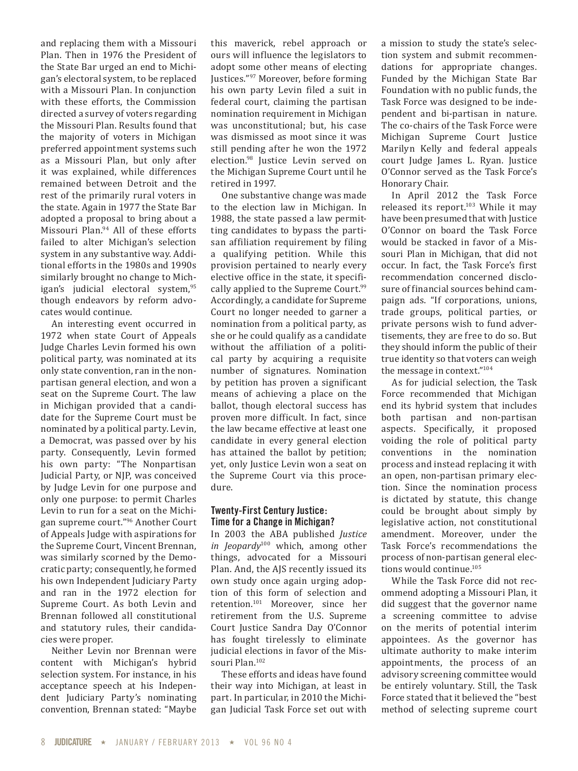and replacing them with a Missouri Plan. Then in 1976 the President of the State Bar urged an end to Michigan's electoral system, to be replaced with a Missouri Plan. In conjunction with these efforts, the Commission directed a survey of voters regarding the Missouri Plan. Results found that the majority of voters in Michigan preferred appointment systems such as a Missouri Plan, but only after it was explained, while differences remained between Detroit and the rest of the primarily rural voters in the state. Again in 1977 the State Bar adopted a proposal to bring about a Missouri Plan.<sup>94</sup> All of these efforts failed to alter Michigan's selection system in any substantive way. Additional efforts in the 1980s and 1990s similarly brought no change to Michigan's judicial electoral system,<sup>95</sup> though endeavors by reform advocates would continue.

An interesting event occurred in 1972 when state Court of Appeals Judge Charles Levin formed his own political party, was nominated at its only state convention, ran in the nonpartisan general election, and won a seat on the Supreme Court. The law in Michigan provided that a candidate for the Supreme Court must be nominated by a political party. Levin, a Democrat, was passed over by his party. Consequently, Levin formed his own party: "The Nonpartisan Judicial Party, or NJP, was conceived by Judge Levin for one purpose and only one purpose: to permit Charles Levin to run for a seat on the Michigan supreme court."96 Another Court of Appeals Judge with aspirations for the Supreme Court, Vincent Brennan, was similarly scorned by the Democratic party; consequently, he formed his own Independent Judiciary Party and ran in the 1972 election for Supreme Court. As both Levin and Brennan followed all constitutional and statutory rules, their candidacies were proper.

Neither Levin nor Brennan were content with Michigan's hybrid selection system. For instance, in his acceptance speech at his Independent Judiciary Party's nominating convention, Brennan stated: "Maybe

this maverick, rebel approach or ours will influence the legislators to adopt some other means of electing Justices."97 Moreover, before forming his own party Levin filed a suit in federal court, claiming the partisan nomination requirement in Michigan was unconstitutional; but, his case was dismissed as moot since it was still pending after he won the 1972 election.98 Justice Levin served on the Michigan Supreme Court until he retired in 1997.

One substantive change was made to the election law in Michigan. In 1988, the state passed a law permitting candidates to bypass the partisan affiliation requirement by filing a qualifying petition. While this provision pertained to nearly every elective office in the state, it specifically applied to the Supreme Court.<sup>99</sup> Accordingly, a candidate for Supreme Court no longer needed to garner a nomination from a political party, as she or he could qualify as a candidate without the affiliation of a political party by acquiring a requisite number of signatures. Nomination by petition has proven a significant means of achieving a place on the ballot, though electoral success has proven more difficult. In fact, since the law became effective at least one candidate in every general election has attained the ballot by petition; yet, only Justice Levin won a seat on the Supreme Court via this procedure.

#### **Twenty-First Century Justice: Time for a Change in Michigan?**

In 2003 the ABA published *Justice in Jeopardy*100 which, among other things, advocated for a Missouri Plan. And, the AJS recently issued its own study once again urging adoption of this form of selection and retention.101 Moreover, since her retirement from the U.S. Supreme Court Justice Sandra Day O'Connor has fought tirelessly to eliminate judicial elections in favor of the Missouri Plan.<sup>102</sup>

These efforts and ideas have found their way into Michigan, at least in part. In particular, in 2010 the Michigan Judicial Task Force set out with a mission to study the state's selection system and submit recommendations for appropriate changes. Funded by the Michigan State Bar Foundation with no public funds, the Task Force was designed to be independent and bi-partisan in nature. The co-chairs of the Task Force were Michigan Supreme Court Justice Marilyn Kelly and federal appeals court Judge James L. Ryan. Justice O'Connor served as the Task Force's Honorary Chair.

In April 2012 the Task Force released its report. $103$  While it may have been presumed that with Justice O'Connor on board the Task Force would be stacked in favor of a Missouri Plan in Michigan, that did not occur. In fact, the Task Force's first recommendation concerned disclosure of financial sources behind campaign ads. "If corporations, unions, trade groups, political parties, or private persons wish to fund advertisements, they are free to do so. But they should inform the public of their true identity so that voters can weigh the message in context."104

As for judicial selection, the Task Force recommended that Michigan end its hybrid system that includes both partisan and non-partisan aspects. Specifically, it proposed voiding the role of political party conventions in the nomination process and instead replacing it with an open, non-partisan primary election. Since the nomination process is dictated by statute, this change could be brought about simply by legislative action, not constitutional amendment. Moreover, under the Task Force's recommendations the process of non-partisan general elections would continue.<sup>105</sup>

While the Task Force did not recommend adopting a Missouri Plan, it did suggest that the governor name a screening committee to advise on the merits of potential interim appointees. As the governor has ultimate authority to make interim appointments, the process of an advisory screening committee would be entirely voluntary. Still, the Task Force stated that it believed the "best method of selecting supreme court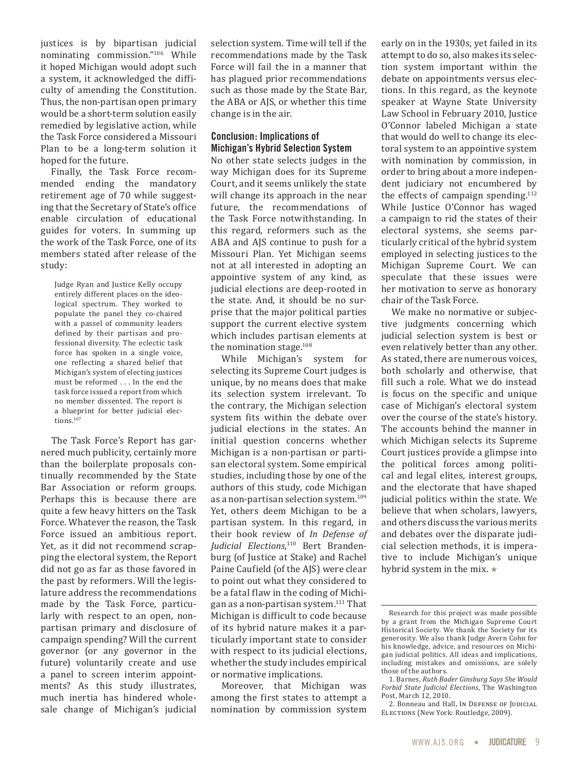justices is by bipartisan judicial nominating commission."106 While it hoped Michigan would adopt such a system, it acknowledged the difficulty of amending the Constitution. Thus, the non-partisan open primary would be a short-term solution easily remedied by legislative action, while the Task Force considered a Missouri Plan to be a long-term solution it hoped for the future.

Finally, the Task Force recommended ending the mandatory retirement age of 70 while suggesting that the Secretary of State's office enable circulation of educational guides for voters. In summing up the work of the Task Force, one of its members stated after release of the study:

Judge Ryan and Justice Kelly occupy entirely different places on the ideological spectrum. They worked to populate the panel they co-chaired with a passel of community leaders defined by their partisan and professional diversity. The eclectic task force has spoken in a single voice, one reflecting a shared belief that Michigan's system of electing justices must be reformed . . . In the end the task force issued a report from which no member dissented. The report is a blueprint for better judicial elections.107

The Task Force's Report has garnered much publicity, certainly more than the boilerplate proposals continually recommended by the State Bar Association or reform groups. Perhaps this is because there are quite a few heavy hitters on the Task Force. Whatever the reason, the Task Force issued an ambitious report. Yet, as it did not recommend scrapping the electoral system, the Report did not go as far as those favored in the past by reformers. Will the legislature address the recommendations made by the Task Force, particularly with respect to an open, nonpartisan primary and disclosure of campaign spending? Will the current governor (or any governor in the future) voluntarily create and use a panel to screen interim appointments? As this study illustrates, much inertia has hindered wholesale change of Michigan's judicial selection system. Time will tell if the recommendations made by the Task Force will fail the in a manner that has plagued prior recommendations such as those made by the State Bar, the ABA or AJS, or whether this time change is in the air.

#### **Conclusion: Implications of Michigan's Hybrid Selection System**

No other state selects judges in the way Michigan does for its Supreme Court, and it seems unlikely the state will change its approach in the near future, the recommendations of the Task Force notwithstanding. In this regard, reformers such as the ABA and AJS continue to push for a Missouri Plan. Yet Michigan seems not at all interested in adopting an appointive system of any kind, as judicial elections are deep-rooted in the state. And, it should be no surprise that the major political parties support the current elective system which includes partisan elements at the nomination stage.<sup>108</sup>

While Michigan's system for selecting its Supreme Court judges is unique, by no means does that make its selection system irrelevant. To the contrary, the Michigan selection system fits within the debate over judicial elections in the states. An initial question concerns whether Michigan is a non-partisan or partisan electoral system. Some empirical studies, including those by one of the authors of this study, code Michigan as a non-partisan selection system.<sup>109</sup> Yet, others deem Michigan to be a partisan system. In this regard, in their book review of *In Defense of Judicial Elections*, 110 Bert Brandenburg (of Justice at Stake) and Rachel Paine Caufield (of the AJS) were clear to point out what they considered to be a fatal flaw in the coding of Michigan as a non-partisan system.111 That Michigan is difficult to code because of its hybrid nature makes it a particularly important state to consider with respect to its judicial elections, whether the study includes empirical or normative implications.

Moreover, that Michigan was among the first states to attempt a nomination by commission system early on in the 1930s, yet failed in its attempt to do so, also makes its selection system important within the debate on appointments versus elections. In this regard, as the keynote speaker at Wayne State University Law School in February 2010, Justice O'Connor labeled Michigan a state that would do well to change its electoral system to an appointive system with nomination by commission, in order to bring about a more independent judiciary not encumbered by the effects of campaign spending. $112$ While Justice O'Connor has waged a campaign to rid the states of their electoral systems, she seems particularly critical of the hybrid system employed in selecting justices to the Michigan Supreme Court. We can speculate that these issues were her motivation to serve as honorary chair of the Task Force.

We make no normative or subjective judgments concerning which judicial selection system is best or even relatively better than any other. As stated, there are numerous voices, both scholarly and otherwise, that fill such a role. What we do instead is focus on the specific and unique case of Michigan's electoral system over the course of the state's history. The accounts behind the manner in which Michigan selects its Supreme Court justices provide a glimpse into the political forces among political and legal elites, interest groups, and the electorate that have shaped judicial politics within the state. We believe that when scholars, lawyers, and others discuss the various merits and debates over the disparate judicial selection methods, it is imperative to include Michigan's unique hybrid system in the mix.  $\star$ 

Research for this project was made possible by a grant from the Michigan Supreme Court Historical Society. We thank the Society for its generosity. We also thank Judge Avern Cohn for his knowledge, advice, and resources on Michigan judicial politics. All ideas and implications, including mistakes and omissions, are solely those of the authors.

<sup>1.</sup> Barnes, *Ruth Bader Ginsburg Says She Would Forbid State Judicial Elections*, The Washington Post, March 12, 2010.

<sup>2.</sup> Bonneau and Hall, In DEFENSE OF JUDICIAL Elections (New York: Routledge, 2009).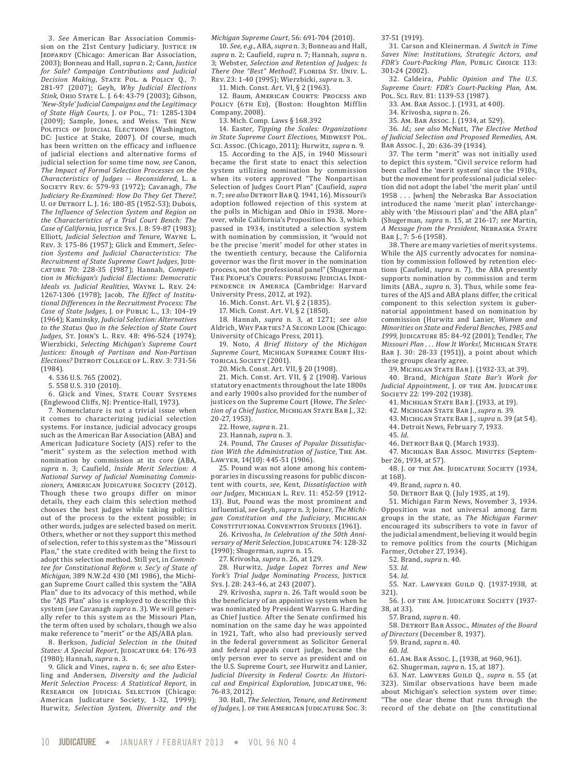3. *See* American Bar Association Commission on the 21st Century Judiciary. JUSTICE IN Jeopardy (Chicago: American Bar Association, 2003); Bonneau and Hall, *supra* n. 2; Cann, *Justice for Sale? Campaign Contributions and Judicial Decision Making*, STATE POL. & POLICY Q., 7: 281-97 (2007); Geyh, *Why Judicial Elections Stink*, Ohio State L. J. 64: 43-79 (2003); Gibson, *'New-Style' Judicial Campaigns and the Legitimacy of State High Courts*, J. of Pol., 71: 1285-1304 (2009); Sample, Jones, and Weiss. The New POLITICS OF JUDICIAL ELECTIONS (Washington, DC: Justice at Stake, 2007). Of course, much has been written on the efficacy and influence of judicial elections and alternative forms of judicial selection for some time now, *see* Canon, *The Impact of Formal Selection Processes on the Characteristics of Judges -- Reconsidered*, L. & Society Rev. 6: 579-93 (1972); Cavanagh, *The Judiciary Re-Examined: How Do They Get There?*, U. of Detroit L. J. 16: 180-85 (1952-53); Dubois, *The Influence of Selection System and Region on the Characteristics of a Trial Court Bench: The Case of California*, JUSTICE SYS. J. 8: 59-87 (1983); Elliott, *Judicial Selection and Tenure*, Wayne L. Rev. 3: 175-86 (1957); Glick and Emmert, *Selection Systems and Judicial Characteristics: The Recruitment of State Supreme Court Judges*, Judicature 70: 228-35 (1987); Hannah, *Competition in Michigan's Judicial Elections: Democratic Ideals vs. Judicial Realities*, Wayne L. Rev. 24: 1267-1306 (1978); Jacob, *The Effect of Institutional Differences in the Recruitment Process: The Case of State Judges*, J. of Public L., 13: 104-19 (1964); Kaminsky, *Judicial Selection: Alternatives to the Status Quo in the Selection of State Court Judges*, St. John's L. Rev. 48: 496-524 (1974); Wierzbicki, *Selecting Michigan's Supreme Court Justices: Enough of Partisan and Non-Partisan Elections?* DETROIT COLLEGE OF L. REV. 3: 731-56 (1984).

4. 536 U.S. 765 (2002).

5. 558 U.S. 310 (2010).

6. Glick and Vines, STATE COURT SYSTEMS (Englewood Cliffs, NJ: Prentice-Hall, 1973).

7. Nomenclature is not a trivial issue when it comes to characterizing judicial selection systems. For instance, judicial advocacy groups such as the American Bar Association (ABA) and American Judicature Society (AJS) refer to the "merit" system as the selection method with nomination by commission at its core (ABA, *supra* n. 3; Caufield, *Inside Merit Selection: A National Survey of Judicial Nominating Commissioners*, American Judicature Society (2012). Though these two groups differ on minor details, they each claim this selection method chooses the best judges while taking politics out of the process to the extent possible; in other words, judges are selected based on merit. Others, whether or not they support this method of selection, refer to this system as the "Missouri Plan," the state credited with being the first to adopt this selection method. Still yet, in *Committee for Constitutional Reform v. Sec'y of State of Michigan*, 389 N.W.2d 430 (MI 1986), the Michigan Supreme Court called this system the "ABA Plan" due to its advocacy of this method, while the "AJS Plan" also is employed to describe this system (*see* Cavanagh *supra* n. 3). We will generally refer to this system as the Missouri Plan, the term often used by scholars, though we also make reference to "merit" or the AJS/ABA plan.

8. Berkson, *Judicial Selection in the United*  States: A Special Report, JUDICATURE 64: 176-93 (1980); Hannah, *supra* n. 3.

9. Glick and Vines, *supra* n. 6; *see also* Esterling and Andersen, *Diversity and the Judicial Merit Selection Process: A Statistical Report*, in RESEARCH ON JUDICIAL SELECTION (Chicago: American Judicature Society, 1-32, 1999); Hurwitz, *Selection System, Diversity and the* 

*Michigan Supreme Court*, 56: 691-704 (2010).

10. *See, e.g.,* ABA, *supra* n. 3; Bonneau and Hall, *supra* n. 2; Caufield, *supra* n. 7; Hannah, *supra* n. 3; Webster, *Selection and Retention of Judges: Is*  There One "Best" Method?, FLORIDA ST. UNIV. L. Rev. 23: 1-40 (1995); Wierzbicki, *supra* n. 3.

11. Mich. Const. Art. VI, § 2 (1963).

12. Baum, American Courts: Process and POLICY (6TH ED), (Boston: Houghton Mifflin Company, 2008).

13. Mich. Comp. Laws § 168.392

14. Easter, *Tipping the Scales: Organizations in State Supreme Court Elections*, Midwest Pol. Sci. Assoc. (Chicago, 2011); Hurwitz, *supra* n. 9.

15. According to the AJS, in 1940 Missouri became the first state to enact this selection system utilizing nomination by commission when its voters approved "The Nonpartisan Selection of Judges Court Plan" (Caufield, *supra* n. 7; *see also* Detroit Bar Q. 1941, 16). Missouri's adoption followed rejection of this system at the polls in Michigan and Ohio in 1938. Moreover, while California's Proposition No. 3, which passed in 1934, instituted a selection system with nomination by commission, it "would not be the precise 'merit' model for other states in the twentieth century, because the California governor was the first mover in the nomination process, not the professional panel" (Shugerman THE PEOPLE'S COURTS: PURSUING JUDICIAL INDEpendence in America (Cambridge: Harvard University Press, 2012, at 192).

16. Mich. Const. Art. VI, § 2 (1835).

17. Mich. Const. Art. VI, § 2 (1850).

18. Hannah, *supra* n. 3, at 1271; *see also* Aldrich, Why Parties? A Second Look (Chicago: University of Chicago Press, 2011).

19. Noto, *A Brief History of the Michigan Supreme Court*, Michigan Supreme Court Historical Society (2001).

20. Mich. Const. Art. VII, § 20 (1908).

21. Mich. Const. Art. VII, § 2 (1908). Various statutory enactments throughout the late 1800s and early 1900s also provided for the number of justices on the Supreme Court (Howe, *The Selec*tion of a Chief Justice, MICHIGAN STATE BAR J., 32: 20-27, 1953).

22. Howe, *supra* n. 21.

23. Hannah, *supra* n. 3.

24. Pound, *The Causes of Popular Dissatisfaction With the Administration of Justice*, The Am. Lawyer, 14(10): 445-51 (1906).

25. Pound was not alone among his contemporaries in discussing reasons for public discontent with courts, *see,* Kent, *Dissatisfaction with our Judges*, Michigan L. Rev. 11: 452-59 (1912- 13). But, Pound was the most prominent and influential, *see* Geyh, *supra* n. 3; Joiner, *The Michigan Constitution and the Judiciary*, Michigan CONSTITUTIONAL CONVENTION STUDIES (1961).

26. Krivosha, *In Celebration of the 50th Anniversary of Merit Selection*, Judicature 74: 128-32 (1990); Shugerman, *supra* n. 15.

27. Krivosha, *supra* n. 26, at 129.

28. Hurwitz, *Judge Lopez Torres and New*  York's Trial Judge Nominating Process, JUSTICE Sys. J. 28: 243-46, at 243 (2007).

29. Krivosha, *supra* n. 26. Taft would soon be the beneficiary of an appointive system when he was nominated by President Warren G. Harding as Chief Justice. After the Senate confirmed his nomination on the same day he was appointed in 1921, Taft, who also had previously served in the federal government as Solicitor General and federal appeals court judge, became the only person ever to serve as president and on the U.S. Supreme Court, *see* Hurwitz and Lanier, *Judicial Diversity in Federal Courts: An Histori*cal and Empirical Exploration, JUDICATURE, 96: 76-83, 2012).

30. Hall, *The Selection, Tenure, and Retirement*  of Judges, J. OF THE AMERICAN JUDICATURE SOC. 3: 37-51 (1919).

31. Carson and Kleinerman. *A Switch in Time Saves Nine: Institutions, Strategic Actors, and FDR's Court-Packing Plan*, Public Choice 113: 301-24 (2002).

32. Caldeira, *Public Opinion and The U.S. Supreme Court: FDR's Court-Packing Plan*, Am. Pol. Sci. Rev. 81: 1139-53 (1987).

33. Am. Bar Assoc. J. (1931, at 400).

34. Krivosha, *supra* n. 26.

35. Am. Bar Assoc. J. (1934, at 529).

36. *Id.*; *see also* McNutt, *The Elective Method of Judicial Selection and Proposed Remedies*, Am. Bar Assoc. J., 20: 636-39 (1934).

37. The term "merit" was not initially used to depict this system. "Civil service reform had been called the 'merit system' since the 1910s, but the movement for professional judicial selection did not adopt the label 'the merit plan' until 1958 . . . [when] the Nebraska Bar Association introduced the name 'merit plan' interchangeably with 'the Missouri plan' and 'the ABA plan" (Shugerman, *supra* n. 15, at 216-17; *see* Martin, *A Message from the President*, Nebraska State Bar J., 7: 5-6 (1958).

38. There are many varieties of merit systems. While the AJS currently advocates for nomination by commission followed by retention elections (Caufield, *supra* n. 7), the ABA presently supports nomination by commission and term limits (ABA., *supra* n. 3). Thus, while some features of the AJS and ABA plans differ, the critical component to this selection system is gubernatorial appointment based on nomination by commission (Hurwitz and Lanier, *Women and Minorities on State and Federal Benches, 1985 and 1999*, Judicature 85: 84-92 (2001); Tendler, *The Missouri Plan . . . How It Works!*, Michigan State Bar J. 30: 28-33 (1951)), a point about which these groups clearly agree.

39. Michigan State Bar J. (1932-33, at 39).

40. Brand, *Michigan State Bar's Work for*  Judicial Appointment, J. OF THE AM. JUDICATURE Society 22: 199-202 (1938).

41. Michigan State Bar J. (1933, at 19).

42. Michigan State Bar J., *supra* n. 39.

- 43. Michigan State Bar J., *supra* n. 39 (at 54).
- 44. Detroit News, February 7, 1933.

45. *Id*.

46. DETROIT BAR Q. (March 1933).

47. Michigan Bar Assoc. Minutes (September 26, 1934, at 57).

48. J. OF THE AM. JUDICATURE SOCIETY (1934, at 168).

49. Brand, *supra* n. 40.

50. Detroit Bar Q. (July 1935, at 19).

51. Michigan Farm News, November 3, 1934. Opposition was not universal among farm groups in the state, as *The Michigan Farmer* encouraged its subscribers to vote in favor of the judicial amendment, believing it would begin to remove politics from the courts (Michigan Farmer, October 27, 1934).

52. Brand, *supra* n. 40.

53. *Id*.

54. *Id*.

55. Nat. Lawyers Guild Q. (1937-1938, at 321).

56. J. OF THE AM. JUDICATURE SOCIETY (1937-38, at 33).

57. Brand, *supra* n. 40.

58. Detroit Bar Assoc., *Minutes of the Board of Directors* (December 8, 1937).

59. Brand, *supra* n. 40.

60. *Id*.

61. Am. Bar Assoc. J., (1938, at 960, 961).

62. Shugerman, *supra* n. 15, at 187).

63. Nat. Lawyers Guild Q., *supra* n. 55 (at 323). Similar observations have been made about Michigan's selection system over time: "The one clear theme that runs through the record of the debate on [the constitutional